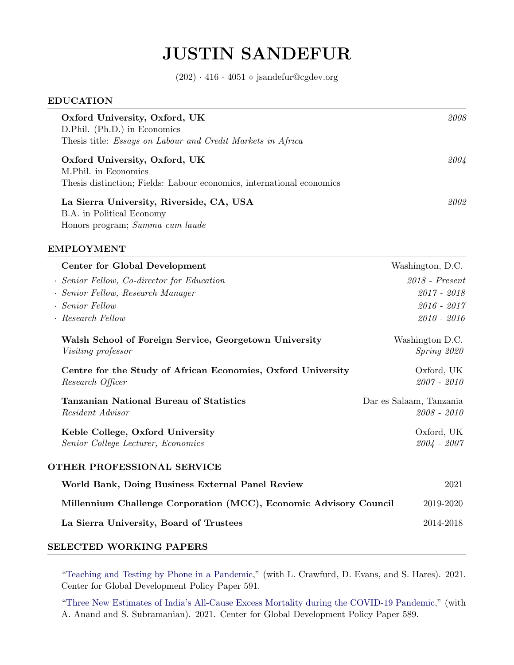# JUSTIN SANDEFUR

 $(202) \cdot 416 \cdot 4051 \diamond$  jsandefur@cgdev.org

| Oxford University, Oxford, UK<br>D.Phil. (Ph.D.) in Economics<br>Thesis title: <i>Essays on Labour and Credit Markets in Africa</i> | 2008 |
|-------------------------------------------------------------------------------------------------------------------------------------|------|
| Oxford University, Oxford, UK<br>M.Phil. in Economics<br>Thesis distinction; Fields: Labour economics, international economics      | 2004 |
| La Sierra University, Riverside, CA, USA<br>B.A. in Political Economy<br>Honors program; Summa cum laude                            | 2002 |

## EMPLOYMENT

| Center for Global Development                                                       | Washington, D.C.                       |
|-------------------------------------------------------------------------------------|----------------------------------------|
| · Senior Fellow, Co-director for Education                                          | $2018$ - Present                       |
| · Senior Fellow, Research Manager                                                   | $2017 - 2018$                          |
| · Senior Fellow                                                                     | 2016 - 2017                            |
| · Research Fellow                                                                   | $2010 - 2016$                          |
| Walsh School of Foreign Service, Georgetown University<br><i>Visiting professor</i> | Washington D.C.<br>Spring 2020         |
| Centre for the Study of African Economies, Oxford University<br>Research Officer    | Oxford, UK<br>2007 - 2010              |
| Tanzanian National Bureau of Statistics<br><i>Resident Advisor</i>                  | Dar es Salaam, Tanzania<br>2008 - 2010 |
| Keble College, Oxford University<br>Senior College Lecturer, Economics              | Oxford, UK<br>2004 - 2007              |
| OTHER PROFESSIONAL SERVICE                                                          |                                        |

| World Bank, Doing Business External Panel Review                  | 2021      |
|-------------------------------------------------------------------|-----------|
| Millennium Challenge Corporation (MCC), Economic Advisory Council | 2019-2020 |
| La Sierra University, Board of Trustees                           | 2014-2018 |

# SELECTED WORKING PAPERS

["Teaching and Testing by Phone in a Pandemic,](https://www.cgdev.org/publication/teaching-and-testing-phone-pandemic)" (with L. Crawfurd, D. Evans, and S. Hares). 2021. Center for Global Development Policy Paper 591.

["Three New Estimates of India's All-Cause Excess Mortality during the COVID-19 Pandemic,](https://www.cgdev.org/publication/three-new-estimates-indias-all-cause-excess-mortality-during-covid-19-pandemic)" (with A. Anand and S. Subramanian). 2021. Center for Global Development Policy Paper 589.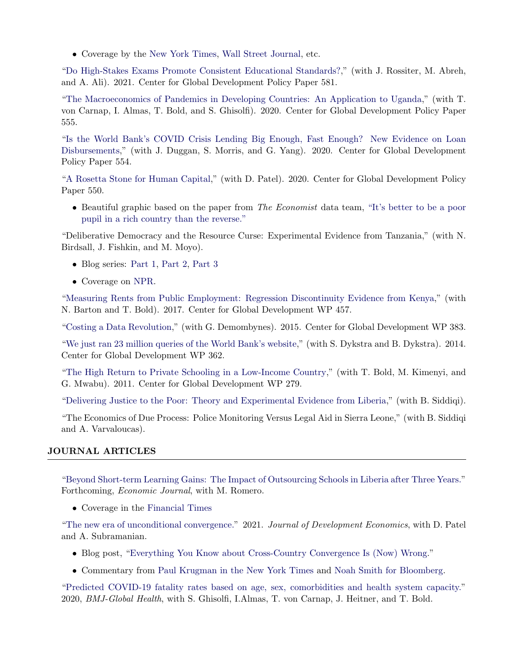• Coverage by the [New York Times,](https://www.nytimes.com/2021/07/20/world/asia/india-covid-pandemic-excess-deaths.html) [Wall Street Journal,](https://www.wsj.com/articles/indias-covid-19-death-toll-is-likely-in-the-millions-study-finds-11626792531) etc.

["Do High-Stakes Exams Promote Consistent Educational Standards?,](https://www.cgdev.org/publication/do-high-stakes-exams-promote-consistent-educational-standards)" (with J. Rossiter, M. Abreh, and A. Ali). 2021. Center for Global Development Policy Paper 581.

["The Macroeconomics of Pandemics in Developing Countries: An Application to Uganda,](https://www.cgdev.org/publication/macroeconomics-pandemics-developing-countries-application-uganda)" (with T. von Carnap, I. Almas, T. Bold, and S. Ghisolfi). 2020. Center for Global Development Policy Paper 555.

["Is the World Bank's COVID Crisis Lending Big Enough, Fast Enough? New Evidence on Loan](https://www.cgdev.org/publication/world-banks-covid-crisis-lending-big-enough-fast-enough-new-evidence-loan-disbursements) [Disbursements,](https://www.cgdev.org/publication/world-banks-covid-crisis-lending-big-enough-fast-enough-new-evidence-loan-disbursements)" (with J. Duggan, S. Morris, and G. Yang). 2020. Center for Global Development Policy Paper 554.

["A Rosetta Stone for Human Capital,](https://www.cgdev.org/publication/rosetta-stone-human-capital)" (with D. Patel). 2020. Center for Global Development Policy Paper 550.

• Beautiful graphic based on the paper from The Economist data team, ["It's better to be a poor](https://www.economist.com/graphic-detail/2020/10/03/its-better-to-be-a-poor-pupil-in-a-rich-country-than-the-reverse) [pupil in a rich country than the reverse."](https://www.economist.com/graphic-detail/2020/10/03/its-better-to-be-a-poor-pupil-in-a-rich-country-than-the-reverse)

"Deliberative Democracy and the Resource Curse: Experimental Evidence from Tanzania," (with N. Birdsall, J. Fishkin, and M. Moyo).

- Blog series: [Part 1,](https://www.cgdev.org/blog/tanzania-poll-results-can-deliberative-democracy-cure-resource-curse) [Part 2,](https://www.cgdev.org/blog/political-paradox-cash-transfers) [Part 3](https://www.cgdev.org/blog/can-poll-results-sway-elite-opinion-tanzanias-resource-boom)
- Coverage on [NPR.](https://www.npr.org/sections/goatsandsoda/2015/05/18/406462789/its-not-a-come-on-from-a-satanic-cult-its-a-new-kind-of-poll)

["Measuring Rents from Public Employment: Regression Discontinuity Evidence from Kenya,](https://www.cgdev.org/sites/default/files/measuring-rents-public-employment-regression-discontinuity-evidence-kenya.pdf)" (with N. Barton and T. Bold). 2017. Center for Global Development WP 457.

["Costing a Data Revolution,](http://www.cgdev.org/sites/default/files/demombynes-sandefur-costing-data-revolution_1.pdf)" (with G. Demombynes). 2015. Center for Global Development WP 383.

["We just ran 23 million queries of the World Bank's website,](http://www.cgdev.org/sites/default/files/dykstra-sandefur-povcal-net-world-bank_1.pdf)" (with S. Dykstra and B. Dykstra). 2014. Center for Global Development WP 362.

["The High Return to Private Schooling in a Low-Income Country,](http://international.cgdev.org/publication/high-return-private-schooling-low-income-country-working-paper-279)" (with T. Bold, M. Kimenyi, and G. Mwabu). 2011. Center for Global Development WP 279.

["Delivering Justice to the Poor: Theory and Experimental Evidence from Liberia,](https://editorialexpress.com/cgi-bin/conference/download.cgi?db_name=CSAE2013&paper_id=1014)" (with B. Siddiqi).

"The Economics of Due Process: Police Monitoring Versus Legal Aid in Sierra Leone," (with B. Siddiqi and A. Varvaloucas).

# JOURNAL ARTICLES

["Beyond Short-term Learning Gains: The Impact of Outsourcing Schools in Liberia after Three Years."](https://www.cgdev.org/publication/beyond-short-term-learning-gains-impact-outsourcing-schools-liberia-after-three-years) Forthcoming, Economic Journal, with M. Romero.

• Coverage in the [Financial Times](https://www.ft.com/content/35ebb4be-5872-40aa-8be5-28ab1fc36172)

["The new era of unconditional convergence."](https://www.sciencedirect.com/science/article/abs/pii/S030438782100064X) 2021. Journal of Development Economics, with D. Patel and A. Subramanian.

- Blog post, ["Everything You Know about Cross-Country Convergence Is \(Now\) Wrong.](https://piie.com/blogs/realtime-economic-issues-watch/everything-you-know-about-cross-country-convergence-now-wrong)"
- Commentary from [Paul Krugman in the New York Times](https://www.nytimes.com/2018/10/20/opinion/notes-on-global-convergence-wonkish-and-off-point.html) and [Noah Smith for Bloomberg.](https://www.bloomberg.com/opinion/articles/2018-10-18/why-the-developing-world-started-gaining-on-the-west)

["Predicted COVID-19 fatality rates based on age, sex, comorbidities and health system capacity."](https://gh.bmj.com/content/5/9/e003094.info) 2020, BMJ-Global Health, with S. Ghisolfi, I.Almas, T. von Carnap, J. Heitner, and T. Bold.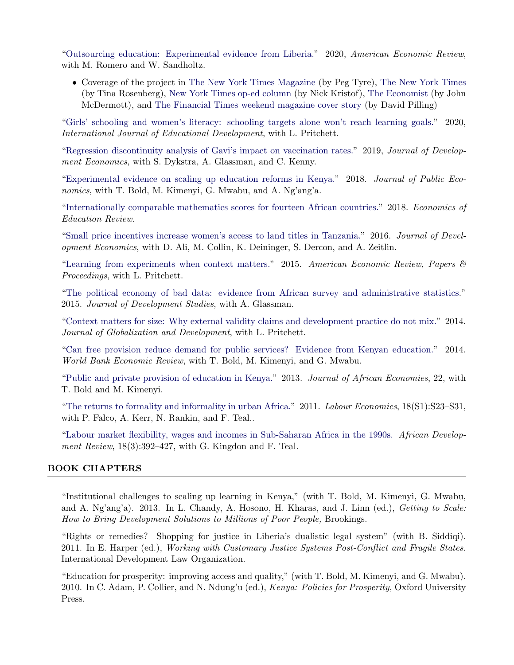["Outsourcing education: Experimental evidence from Liberia."](https://www.aeaweb.org/articles?id=10.1257/aer.20181478&&from=f) 2020, American Economic Review, with M. Romero and W. Sandholtz.

• Coverage of the project in [The New York Times Magazine](https://www.nytimes.com/2017/06/27/magazine/can-a-tech-start-up-successfully-educate-children-in-the-developing-world.html) (by Peg Tyre), [The New York Times](https://www.nytimes.com/2016/06/14/opinion/liberia-desperate-to-educate-turns-to-charter-schools.html) (by Tina Rosenberg), [New York Times op-ed column](https://www.nytimes.com/2017/07/15/opinion/sunday/bridge-schools-liberia.html) (by Nick Kristof), [The Economist](https://www.economist.com/middle-east-and-africa/2017/09/07/a-report-card-for-liberias-charter-schools) (by John McDermott), and [The Financial Times weekend magazine cover story](https://www.ft.com/content/291b7fca-2487-11e7-a34a-538b4cb30025) (by David Pilling)

["Girls' schooling and women's literacy: schooling targets alone won't reach learning goals."](https://www.sciencedirect.com/science/article/pii/S0738059320304016) 2020, International Journal of Educational Development, with L. Pritchett.

["Regression discontinuity analysis of Gavi's impact on vaccination rates."](https://www.sciencedirect.com/science/article/pii/S0304387819305309) 2019, Journal of Development Economics, with S. Dykstra, A. Glassman, and C. Kenny.

["Experimental evidence on scaling up education reforms in Kenya."](http://www.sciencedirect.com/science/article/pii/S0047272718301518) 2018. Journal of Public Economics, with T. Bold, M. Kimenyi, G. Mwabu, and A. Ng'ang'a.

["Internationally comparable mathematics scores for fourteen African countries."](http://www.sciencedirect.com/science/article/pii/S0272775717300055) 2018. Economics of Education Review.

["Small price incentives increase women's access to land titles in Tanzania."](http://www.sciencedirect.com/science/article/pii/S030438781630044X) 2016. Journal of Development Economics, with D. Ali, M. Collin, K. Deininger, S. Dercon, and A. Zeitlin.

["Learning from experiments when context matters."](https://www.aeaweb.org/articles.php?doi=10.1257/aer.p20151016) 2015. American Economic Review, Papers  $\mathcal{B}$ Proceedings, with L. Pritchett.

["The political economy of bad data: evidence from African survey and administrative statistics.](http://www.tandfonline.com/doi/abs/10.1080/00220388.2014.968138)" 2015. Journal of Development Studies, with A. Glassman.

["Context matters for size: Why external validity claims and development practice do not mix."](http://www.degruyter.com/view/j/jgd.2013.4.issue-2/jgd-2014-0004/jgd-2014-0004.xml?format=INT) 2014. Journal of Globalization and Development, with L. Pritchett.

["Can free provision reduce demand for public services? Evidence from Kenyan education."](http://wber.oxfordjournals.org/content/early/2014/01/10/wber.lht038.abstract) 2014. World Bank Economic Review, with T. Bold, M. Kimenyi, and G. Mwabu.

["Public and private provision of education in Kenya."](http://jae.oxfordjournals.org/content/22/suppl_2/ii39) 2013. Journal of African Economies, 22, with T. Bold and M. Kimenyi.

["The returns to formality and informality in urban Africa."](http://www.sciencedirect.com/science/article/pii/S0927537111001023) 2011. Labour Economics, 18(S1):S23–S31, with P. Falco, A. Kerr, N. Rankin, and F. Teal..

["Labour market flexibility, wages and incomes in Sub-Saharan Africa in the 1990s.](http://onlinelibrary.wiley.com/doi/10.1111/j.1467-8268.2006.00144.x/abstract) African Development Review,  $18(3):392-427$ , with G. Kingdon and F. Teal.

#### BOOK CHAPTERS

"Institutional challenges to scaling up learning in Kenya," (with T. Bold, M. Kimenyi, G. Mwabu, and A. Ng'ang'a). 2013. In L. Chandy, A. Hosono, H. Kharas, and J. Linn (ed.), *Getting to Scale:* How to Bring Development Solutions to Millions of Poor People, Brookings.

"Rights or remedies? Shopping for justice in Liberia's dualistic legal system" (with B. Siddiqi). 2011. In E. Harper (ed.), Working with Customary Justice Systems Post-Conflict and Fragile States. International Development Law Organization.

"Education for prosperity: improving access and quality," (with T. Bold, M. Kimenyi, and G. Mwabu). 2010. In C. Adam, P. Collier, and N. Ndung'u (ed.), Kenya: Policies for Prosperity, Oxford University Press.